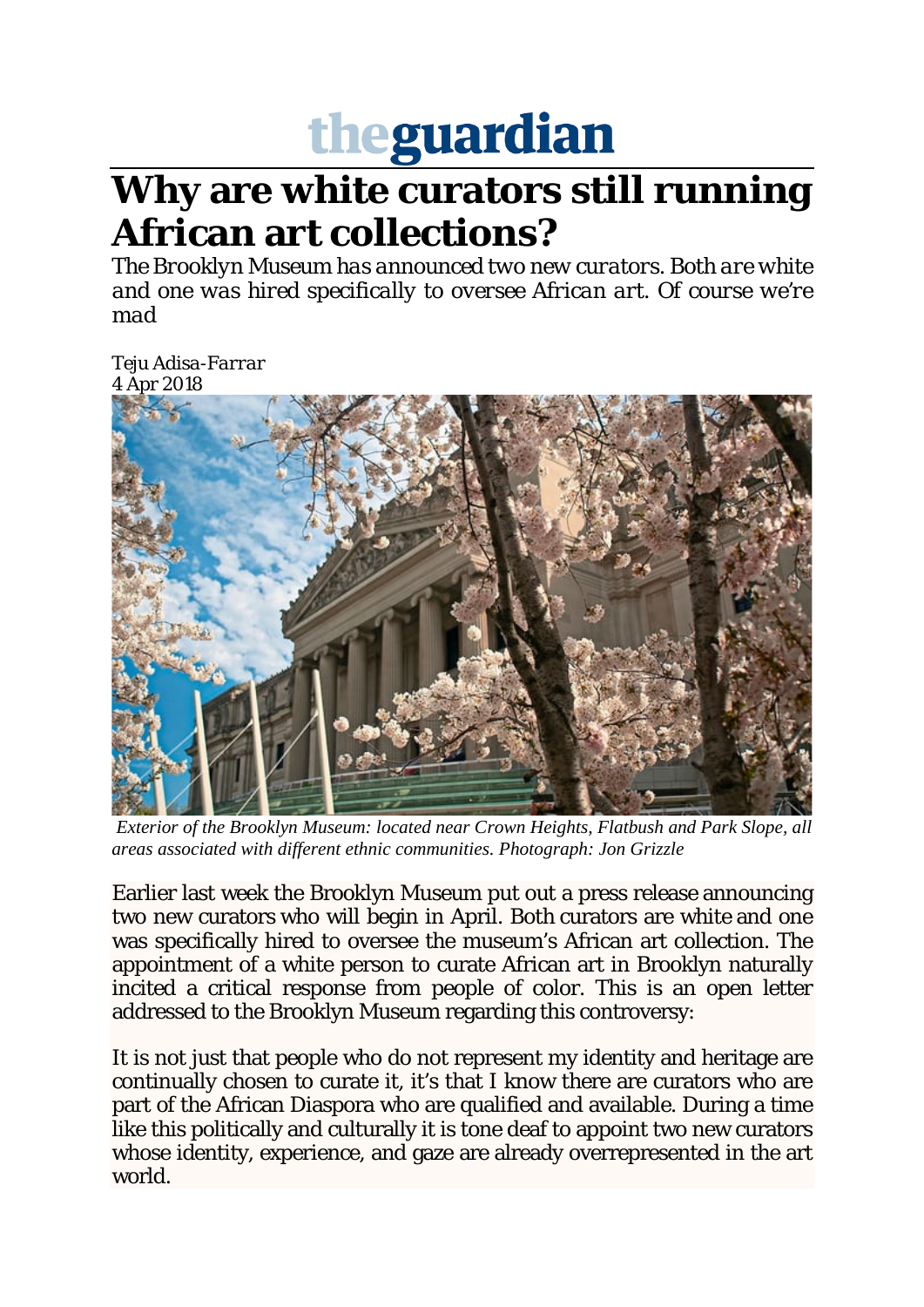## theguardian

## **Why are white curators still running African art collections?**

*The Brooklyn Museum has announced two new curators. Both are white and one was hired specifically to oversee African art. Of course we're mad*

*Teju Adisa-Farrar* 4 Apr 2018



*Exterior of the Brooklyn Museum: located near Crown Heights, Flatbush and Park Slope, all areas associated with different ethnic communities. Photograph: Jon Grizzle*

Earlier last week the Brooklyn Museum put out a press release announcing two new curators who will begin in April. Both curators are white and one was specifically hired to oversee the museum's African art collection. The appointment of a white person to curate African art in Brooklyn naturally incited a critical response from people of color. This is an open letter addressed to the Brooklyn Museum regarding this controversy:

It is not just that people who do not represent my identity and heritage are continually chosen to curate it, it's that I know there are curators who are part of the African Diaspora who are qualified and available. During a time like this politically and culturally it is tone deaf to appoint two new curators whose identity, experience, and gaze are already overrepresented in the art world.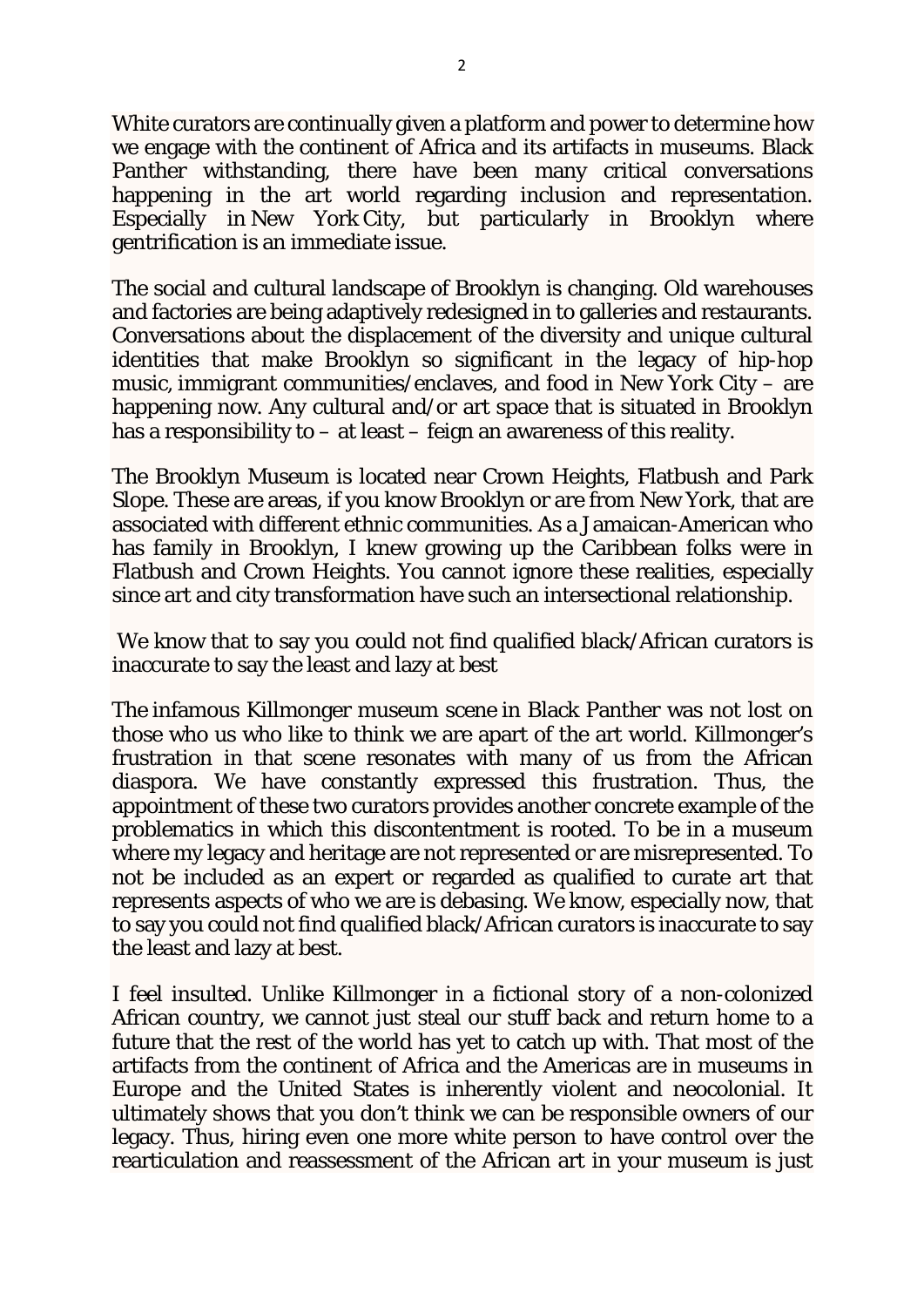White curators are continually given a platform and power to determine how we engage with the continent of Africa and its artifacts in museums. Black Panther withstanding, there have been many critical conversations happening in the art world regarding inclusion and representation. Especially in New York City, but particularly in Brooklyn where gentrification is an immediate issue.

The social and cultural landscape of Brooklyn is changing. Old warehouses and factories are being adaptively redesigned in to galleries and restaurants. Conversations about the displacement of the diversity and unique cultural identities that make Brooklyn so significant in the legacy of hip-hop music, immigrant communities/enclaves, and food in New York City – are happening now. Any cultural and/or art space that is situated in Brooklyn has a responsibility to  $-$  at least  $-$  feign an awareness of this reality.

The Brooklyn Museum is located near Crown Heights, Flatbush and Park Slope. These are areas, if you know Brooklyn or are from New York, that are associated with different ethnic communities. As a Jamaican-American who has family in Brooklyn, I knew growing up the Caribbean folks were in Flatbush and Crown Heights. You cannot ignore these realities, especially since art and city transformation have such an intersectional relationship.

We know that to say you could not find qualified black/African curators is inaccurate to say the least and lazy at best

The infamous Killmonger museum scene in Black Panther was not lost on those who us who like to think we are apart of the art world. Killmonger's frustration in that scene resonates with many of us from the African diaspora. We have constantly expressed this frustration. Thus, the appointment of these two curators provides another concrete example of the problematics in which this discontentment is rooted. To be in a museum where my legacy and heritage are not represented or are misrepresented. To not be included as an expert or regarded as qualified to curate art that represents aspects of who we are is debasing. We know, especially now, that to say you could not find qualified black/African curators is inaccurate to say the least and lazy at best.

I feel insulted. Unlike Killmonger in a fictional story of a non-colonized African country, we cannot just steal our stuff back and return home to a future that the rest of the world has yet to catch up with. That most of the artifacts from the continent of Africa and the Americas are in museums in Europe and the United States is inherently violent and neocolonial. It ultimately shows that you don't think we can be responsible owners of our legacy. Thus, hiring even one more white person to have control over the rearticulation and reassessment of the African art in your museum is just